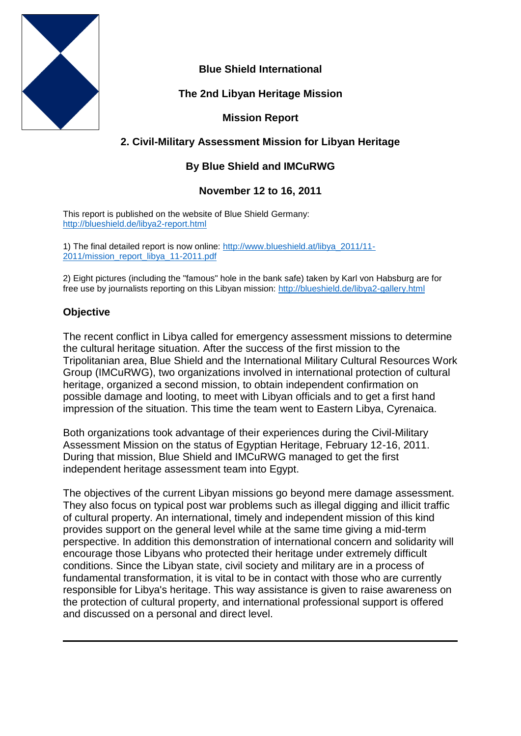

**Blue Shield International**

**The 2nd Libyan Heritage Mission**

# **Mission Report**

# **2. Civil-Military Assessment Mission for Libyan Heritage**

## **By Blue Shield and IMCuRWG**

### **November 12 to 16, 2011**

This report is published on the website of Blue Shield Germany: <http://blueshield.de/libya2-report.html>

1) The final detailed report is now online: [http://www.blueshield.at/libya\\_2011/11-](http://www.blueshield.at/libya_2011/11-2011/mission_report_libya_11-2011.pdf) [2011/mission\\_report\\_libya\\_11-2011.pdf](http://www.blueshield.at/libya_2011/11-2011/mission_report_libya_11-2011.pdf)

2) Eight pictures (including the "famous" hole in the bank safe) taken by Karl von Habsburg are for free use by journalists reporting on this Libyan mission:<http://blueshield.de/libya2-gallery.html>

## **Objective**

The recent conflict in Libya called for emergency assessment missions to determine the cultural heritage situation. After the success of the first mission to the Tripolitanian area, Blue Shield and the International Military Cultural Resources Work Group (IMCuRWG), two organizations involved in international protection of cultural heritage, organized a second mission, to obtain independent confirmation on possible damage and looting, to meet with Libyan officials and to get a first hand impression of the situation. This time the team went to Eastern Libya, Cyrenaica.

Both organizations took advantage of their experiences during the Civil-Military Assessment Mission on the status of Egyptian Heritage, February 12-16, 2011. During that mission, Blue Shield and IMCuRWG managed to get the first independent heritage assessment team into Egypt.

The objectives of the current Libyan missions go beyond mere damage assessment. They also focus on typical post war problems such as illegal digging and illicit traffic of cultural property. An international, timely and independent mission of this kind provides support on the general level while at the same time giving a mid-term perspective. In addition this demonstration of international concern and solidarity will encourage those Libyans who protected their heritage under extremely difficult conditions. Since the Libyan state, civil society and military are in a process of fundamental transformation, it is vital to be in contact with those who are currently responsible for Libya's heritage. This way assistance is given to raise awareness on the protection of cultural property, and international professional support is offered and discussed on a personal and direct level.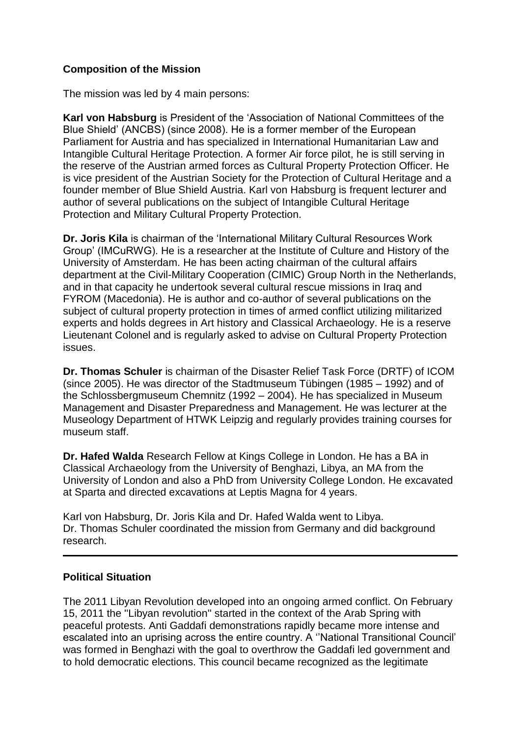## **Composition of the Mission**

The mission was led by 4 main persons:

**Karl von Habsburg** is President of the 'Association of National Committees of the Blue Shield' (ANCBS) (since 2008). He is a former member of the European Parliament for Austria and has specialized in International Humanitarian Law and Intangible Cultural Heritage Protection. A former Air force pilot, he is still serving in the reserve of the Austrian armed forces as Cultural Property Protection Officer. He is vice president of the Austrian Society for the Protection of Cultural Heritage and a founder member of Blue Shield Austria. Karl von Habsburg is frequent lecturer and author of several publications on the subject of Intangible Cultural Heritage Protection and Military Cultural Property Protection.

**Dr. Joris Kila** is chairman of the 'International Military Cultural Resources Work Group' (IMCuRWG). He is a researcher at the Institute of Culture and History of the University of Amsterdam. He has been acting chairman of the cultural affairs department at the Civil-Military Cooperation (CIMIC) Group North in the Netherlands, and in that capacity he undertook several cultural rescue missions in Iraq and FYROM (Macedonia). He is author and co-author of several publications on the subject of cultural property protection in times of armed conflict utilizing militarized experts and holds degrees in Art history and Classical Archaeology. He is a reserve Lieutenant Colonel and is regularly asked to advise on Cultural Property Protection issues.

**Dr. Thomas Schuler** is chairman of the Disaster Relief Task Force (DRTF) of ICOM (since 2005). He was director of the Stadtmuseum Tübingen (1985 – 1992) and of the Schlossbergmuseum Chemnitz (1992 – 2004). He has specialized in Museum Management and Disaster Preparedness and Management. He was lecturer at the Museology Department of HTWK Leipzig and regularly provides training courses for museum staff.

**Dr. Hafed Walda** Research Fellow at Kings College in London. He has a BA in Classical Archaeology from the University of Benghazi, Libya, an MA from the University of London and also a PhD from University College London. He excavated at Sparta and directed excavations at Leptis Magna for 4 years.

Karl von Habsburg, Dr. Joris Kila and Dr. Hafed Walda went to Libya. Dr. Thomas Schuler coordinated the mission from Germany and did background research.

### **Political Situation**

The 2011 Libyan Revolution developed into an ongoing armed conflict. On February 15, 2011 the ''Libyan revolution'' started in the context of the Arab Spring with peaceful protests. Anti Gaddafi demonstrations rapidly became more intense and escalated into an uprising across the entire country. A ''National Transitional Council' was formed in Benghazi with the goal to overthrow the Gaddafi led government and to hold democratic elections. This council became recognized as the legitimate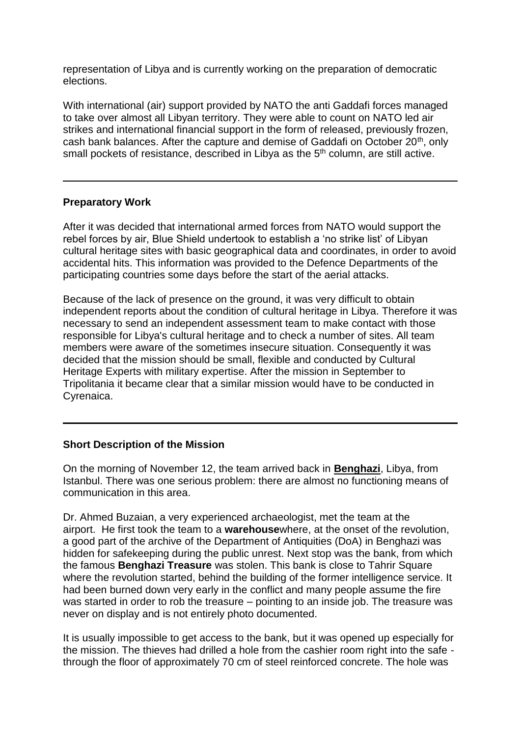representation of Libya and is currently working on the preparation of democratic elections.

With international (air) support provided by NATO the anti Gaddafi forces managed to take over almost all Libyan territory. They were able to count on NATO led air strikes and international financial support in the form of released, previously frozen, cash bank balances. After the capture and demise of Gaddafi on October 20th, only small pockets of resistance, described in Libya as the  $5<sup>th</sup>$  column, are still active.

## **Preparatory Work**

After it was decided that international armed forces from NATO would support the rebel forces by air, Blue Shield undertook to establish a 'no strike list' of Libyan cultural heritage sites with basic geographical data and coordinates, in order to avoid accidental hits. This information was provided to the Defence Departments of the participating countries some days before the start of the aerial attacks.

Because of the lack of presence on the ground, it was very difficult to obtain independent reports about the condition of cultural heritage in Libya. Therefore it was necessary to send an independent assessment team to make contact with those responsible for Libya's cultural heritage and to check a number of sites. All team members were aware of the sometimes insecure situation. Consequently it was decided that the mission should be small, flexible and conducted by Cultural Heritage Experts with military expertise. After the mission in September to Tripolitania it became clear that a similar mission would have to be conducted in Cyrenaica.

### **Short Description of the Mission**

On the morning of November 12, the team arrived back in **Benghazi**, Libya, from Istanbul. There was one serious problem: there are almost no functioning means of communication in this area.

Dr. Ahmed Buzaian, a very experienced archaeologist, met the team at the airport. He first took the team to a **warehouse**where, at the onset of the revolution, a good part of the archive of the Department of Antiquities (DoA) in Benghazi was hidden for safekeeping during the public unrest. Next stop was the bank, from which the famous **Benghazi Treasure** was stolen. This bank is close to Tahrir Square where the revolution started, behind the building of the former intelligence service. It had been burned down very early in the conflict and many people assume the fire was started in order to rob the treasure – pointing to an inside job. The treasure was never on display and is not entirely photo documented.

It is usually impossible to get access to the bank, but it was opened up especially for the mission. The thieves had drilled a hole from the cashier room right into the safe through the floor of approximately 70 cm of steel reinforced concrete. The hole was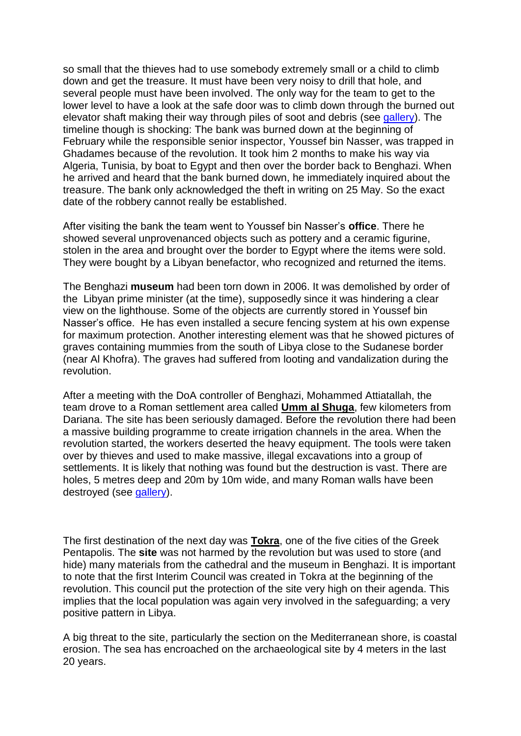so small that the thieves had to use somebody extremely small or a child to climb down and get the treasure. It must have been very noisy to drill that hole, and several people must have been involved. The only way for the team to get to the lower level to have a look at the safe door was to climb down through the burned out elevator shaft making their way through piles of soot and debris (**see [gallery](http://blueshield.de/libya2-gallery.html#Benghazi)**). The timeline though is shocking: The bank was burned down at the beginning of February while the responsible senior inspector, Youssef bin Nasser, was trapped in Ghadames because of the revolution. It took him 2 months to make his way via Algeria, Tunisia, by boat to Egypt and then over the border back to Benghazi. When he arrived and heard that the bank burned down, he immediately inquired about the treasure. The bank only acknowledged the theft in writing on 25 May. So the exact date of the robbery cannot really be established.

After visiting the bank the team went to Youssef bin Nasser's **office**. There he showed several unprovenanced objects such as pottery and a ceramic figurine, stolen in the area and brought over the border to Egypt where the items were sold. They were bought by a Libyan benefactor, who recognized and returned the items.

The Benghazi **museum** had been torn down in 2006. It was demolished by order of the Libyan prime minister (at the time), supposedly since it was hindering a clear view on the lighthouse. Some of the objects are currently stored in Youssef bin Nasser's office. He has even installed a secure fencing system at his own expense for maximum protection. Another interesting element was that he showed pictures of graves containing mummies from the south of Libya close to the Sudanese border (near Al Khofra). The graves had suffered from looting and vandalization during the revolution.

After a meeting with the DoA controller of Benghazi, Mohammed Attiatallah, the team drove to a Roman settlement area called **Umm al Shuga**, few kilometers from Dariana. The site has been seriously damaged. Before the revolution there had been a massive building programme to create irrigation channels in the area. When the revolution started, the workers deserted the heavy equipment. The tools were taken over by thieves and used to make massive, illegal excavations into a group of settlements. It is likely that nothing was found but the destruction is vast. There are holes, 5 metres deep and 20m by 10m wide, and many Roman walls have been destroyed (see [gallery\)](http://blueshield.de/libya2-gallery.html#Umm-al-Shuga).

The first destination of the next day was **Tokra**, one of the five cities of the Greek Pentapolis. The **site** was not harmed by the revolution but was used to store (and hide) many materials from the cathedral and the museum in Benghazi. It is important to note that the first Interim Council was created in Tokra at the beginning of the revolution. This council put the protection of the site very high on their agenda. This implies that the local population was again very involved in the safeguarding; a very positive pattern in Libya.

A big threat to the site, particularly the section on the Mediterranean shore, is coastal erosion. The sea has encroached on the archaeological site by 4 meters in the last 20 years.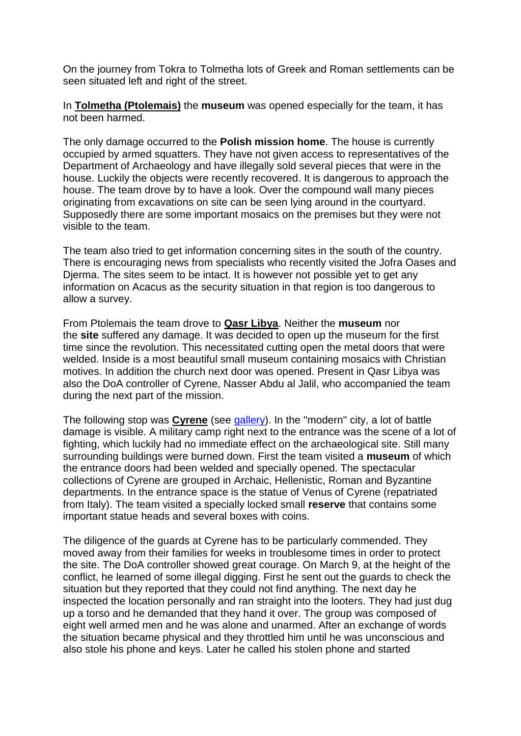On the journey from Tokra to Tolmetha lots of Greek and Roman settlements can be seen situated left and right of the street.

In **Tolmetha (Ptolemais)** the **museum** was opened especially for the team, it has not been harmed.

The only damage occurred to the **Polish mission home**. The house is currently occupied by armed squatters. They have not given access to representatives of the Department of Archaeology and have illegally sold several pieces that were in the house. Luckily the objects were recently recovered. It is dangerous to approach the house. The team drove by to have a look. Over the compound wall many pieces originating from excavations on site can be seen lying around in the courtyard. Supposedly there are some important mosaics on the premises but they were not visible to the team.

The team also tried to get information concerning sites in the south of the country. There is encouraging news from specialists who recently visited the Jofra Oases and Djerma. The sites seem to be intact. It is however not possible yet to get any information on Acacus as the security situation in that region is too dangerous to allow a survey.

From Ptolemais the team drove to **Qasr Libya**. Neither the **museum** nor the **site** suffered any damage. It was decided to open up the museum for the first time since the revolution. This necessitated cutting open the metal doors that were welded. Inside is a most beautiful small museum containing mosaics with Christian motives. In addition the church next door was opened. Present in Qasr Libya was also the DoA controller of Cyrene, Nasser Abdu al Jalil, who accompanied the team during the next part of the mission.

The following stop was **Cyrene** (see [gallery\)](http://blueshield.de/libya2-gallery.html#Cyrene). In the ''modern'' city, a lot of battle damage is visible. A military camp right next to the entrance was the scene of a lot of fighting, which luckily had no immediate effect on the archaeological site. Still many surrounding buildings were burned down. First the team visited a **museum** of which the entrance doors had been welded and specially opened. The spectacular collections of Cyrene are grouped in Archaic, Hellenistic, Roman and Byzantine departments. In the entrance space is the statue of Venus of Cyrene (repatriated from Italy). The team visited a specially locked small **reserve** that contains some important statue heads and several boxes with coins.

The diligence of the guards at Cyrene has to be particularly commended. They moved away from their families for weeks in troublesome times in order to protect the site. The DoA controller showed great courage. On March 9, at the height of the conflict, he learned of some illegal digging. First he sent out the guards to check the situation but they reported that they could not find anything. The next day he inspected the location personally and ran straight into the looters. They had just dug up a torso and he demanded that they hand it over. The group was composed of eight well armed men and he was alone and unarmed. After an exchange of words the situation became physical and they throttled him until he was unconscious and also stole his phone and keys. Later he called his stolen phone and started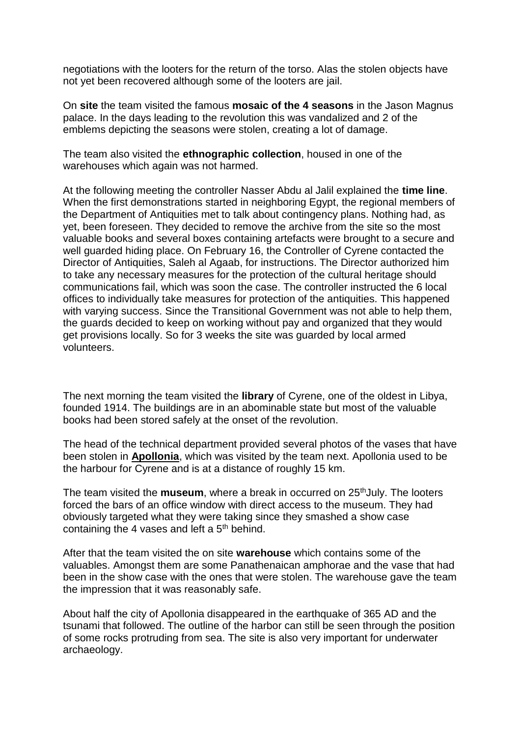negotiations with the looters for the return of the torso. Alas the stolen objects have not yet been recovered although some of the looters are jail.

On **site** the team visited the famous **mosaic of the 4 seasons** in the Jason Magnus palace. In the days leading to the revolution this was vandalized and 2 of the emblems depicting the seasons were stolen, creating a lot of damage.

The team also visited the **ethnographic collection**, housed in one of the warehouses which again was not harmed.

At the following meeting the controller Nasser Abdu al Jalil explained the **time line**. When the first demonstrations started in neighboring Egypt, the regional members of the Department of Antiquities met to talk about contingency plans. Nothing had, as yet, been foreseen. They decided to remove the archive from the site so the most valuable books and several boxes containing artefacts were brought to a secure and well guarded hiding place. On February 16, the Controller of Cyrene contacted the Director of Antiquities, Saleh al Agaab, for instructions. The Director authorized him to take any necessary measures for the protection of the cultural heritage should communications fail, which was soon the case. The controller instructed the 6 local offices to individually take measures for protection of the antiquities. This happened with varying success. Since the Transitional Government was not able to help them, the guards decided to keep on working without pay and organized that they would get provisions locally. So for 3 weeks the site was guarded by local armed volunteers.

The next morning the team visited the **library** of Cyrene, one of the oldest in Libya, founded 1914. The buildings are in an abominable state but most of the valuable books had been stored safely at the onset of the revolution.

The head of the technical department provided several photos of the vases that have been stolen in **Apollonia**, which was visited by the team next. Apollonia used to be the harbour for Cyrene and is at a distance of roughly 15 km.

The team visited the **museum**, where a break in occurred on 25<sup>th</sup>July. The looters forced the bars of an office window with direct access to the museum. They had obviously targeted what they were taking since they smashed a show case containing the 4 vases and left a  $5<sup>th</sup>$  behind.

After that the team visited the on site **warehouse** which contains some of the valuables. Amongst them are some Panathenaican amphorae and the vase that had been in the show case with the ones that were stolen. The warehouse gave the team the impression that it was reasonably safe.

About half the city of Apollonia disappeared in the earthquake of 365 AD and the tsunami that followed. The outline of the harbor can still be seen through the position of some rocks protruding from sea. The site is also very important for underwater archaeology.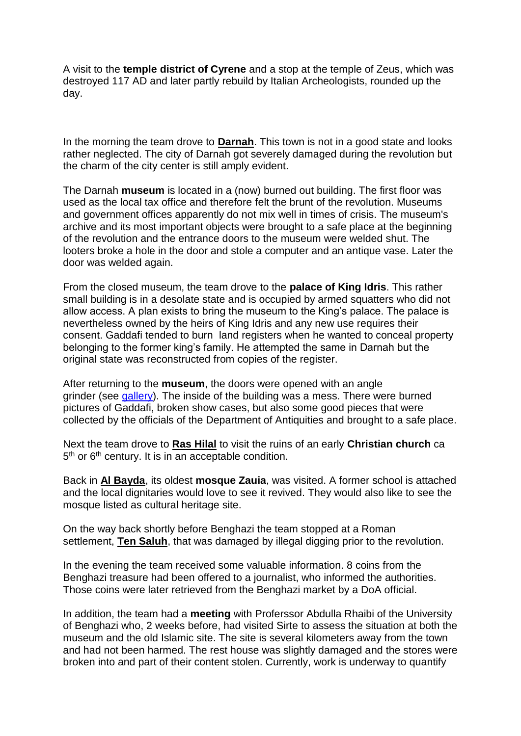A visit to the **temple district of Cyrene** and a stop at the temple of Zeus, which was destroyed 117 AD and later partly rebuild by Italian Archeologists, rounded up the day.

In the morning the team drove to **Darnah**. This town is not in a good state and looks rather neglected. The city of Darnah got severely damaged during the revolution but the charm of the city center is still amply evident.

The Darnah **museum** is located in a (now) burned out building. The first floor was used as the local tax office and therefore felt the brunt of the revolution. Museums and government offices apparently do not mix well in times of crisis. The museum's archive and its most important objects were brought to a safe place at the beginning of the revolution and the entrance doors to the museum were welded shut. The looters broke a hole in the door and stole a computer and an antique vase. Later the door was welded again.

From the closed museum, the team drove to the **palace of King Idris**. This rather small building is in a desolate state and is occupied by armed squatters who did not allow access. A plan exists to bring the museum to the King's palace. The palace is nevertheless owned by the heirs of King Idris and any new use requires their consent. Gaddafi tended to burn land registers when he wanted to conceal property belonging to the former king's family. He attempted the same in Darnah but the original state was reconstructed from copies of the register.

After returning to the **museum**, the doors were opened with an angle grinder (see [gallery\)](http://blueshield.de/libya2-gallery.html#Darnah). The inside of the building was a mess. There were burned pictures of Gaddafi, broken show cases, but also some good pieces that were collected by the officials of the Department of Antiquities and brought to a safe place.

Next the team drove to **Ras Hilal** to visit the ruins of an early **Christian church** ca 5<sup>th</sup> or 6<sup>th</sup> century. It is in an acceptable condition.

Back in **Al Bayda**, its oldest **mosque Zauia**, was visited. A former school is attached and the local dignitaries would love to see it revived. They would also like to see the mosque listed as cultural heritage site.

On the way back shortly before Benghazi the team stopped at a Roman settlement, **Ten Saluh**, that was damaged by illegal digging prior to the revolution.

In the evening the team received some valuable information. 8 coins from the Benghazi treasure had been offered to a journalist, who informed the authorities. Those coins were later retrieved from the Benghazi market by a DoA official.

In addition, the team had a **meeting** with Proferssor Abdulla Rhaibi of the University of Benghazi who, 2 weeks before, had visited Sirte to assess the situation at both the museum and the old Islamic site. The site is several kilometers away from the town and had not been harmed. The rest house was slightly damaged and the stores were broken into and part of their content stolen. Currently, work is underway to quantify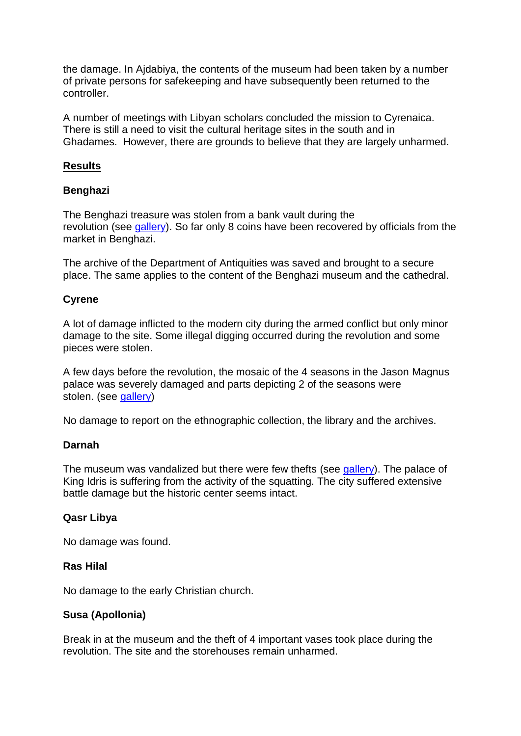the damage. In Ajdabiya, the contents of the museum had been taken by a number of private persons for safekeeping and have subsequently been returned to the controller.

A number of meetings with Libyan scholars concluded the mission to Cyrenaica. There is still a need to visit the cultural heritage sites in the south and in Ghadames. However, there are grounds to believe that they are largely unharmed.

### **Results**

#### **Benghazi**

The Benghazi treasure was stolen from a bank vault during the revolution (see [gallery\)](http://blueshield.de/libya2-gallery.html#Benghazi). So far only 8 coins have been recovered by officials from the market in Benghazi.

The archive of the Department of Antiquities was saved and brought to a secure place. The same applies to the content of the Benghazi museum and the cathedral.

#### **Cyrene**

A lot of damage inflicted to the modern city during the armed conflict but only minor damage to the site. Some illegal digging occurred during the revolution and some pieces were stolen.

A few days before the revolution, the mosaic of the 4 seasons in the Jason Magnus palace was severely damaged and parts depicting 2 of the seasons were stolen. (see [gallery\)](http://blueshield.de/libya2-gallery.html#Cyrene)

No damage to report on the ethnographic collection, the library and the archives.

#### **Darnah**

The museum was vandalized but there were few thefts (see [gallery\)](http://blueshield.de/libya2-gallery.html#Darnah). The palace of King Idris is suffering from the activity of the squatting. The city suffered extensive battle damage but the historic center seems intact.

### **Qasr Libya**

No damage was found.

#### **Ras Hilal**

No damage to the early Christian church.

### **Susa (Apollonia)**

Break in at the museum and the theft of 4 important vases took place during the revolution. The site and the storehouses remain unharmed.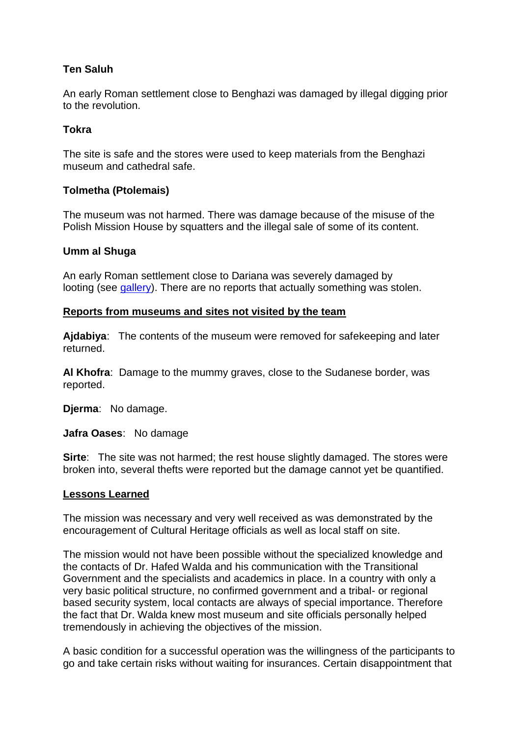# **Ten Saluh**

An early Roman settlement close to Benghazi was damaged by illegal digging prior to the revolution.

## **Tokra**

The site is safe and the stores were used to keep materials from the Benghazi museum and cathedral safe.

## **Tolmetha (Ptolemais)**

The museum was not harmed. There was damage because of the misuse of the Polish Mission House by squatters and the illegal sale of some of its content.

### **Umm al Shuga**

An early Roman settlement close to Dariana was severely damaged by looting (see [gallery\)](http://blueshield.de/libya2-gallery.html#Umm-al-Shuga). There are no reports that actually something was stolen.

### **Reports from museums and sites not visited by the team**

**Ajdabiya**: The contents of the museum were removed for safekeeping and later returned.

**Al Khofra**: Damage to the mummy graves, close to the Sudanese border, was reported.

**Djerma**: No damage.

**Jafra Oases**: No damage

**Sirte**: The site was not harmed; the rest house slightly damaged. The stores were broken into, several thefts were reported but the damage cannot yet be quantified.

### **Lessons Learned**

The mission was necessary and very well received as was demonstrated by the encouragement of Cultural Heritage officials as well as local staff on site.

The mission would not have been possible without the specialized knowledge and the contacts of Dr. Hafed Walda and his communication with the Transitional Government and the specialists and academics in place. In a country with only a very basic political structure, no confirmed government and a tribal- or regional based security system, local contacts are always of special importance. Therefore the fact that Dr. Walda knew most museum and site officials personally helped tremendously in achieving the objectives of the mission.

A basic condition for a successful operation was the willingness of the participants to go and take certain risks without waiting for insurances. Certain disappointment that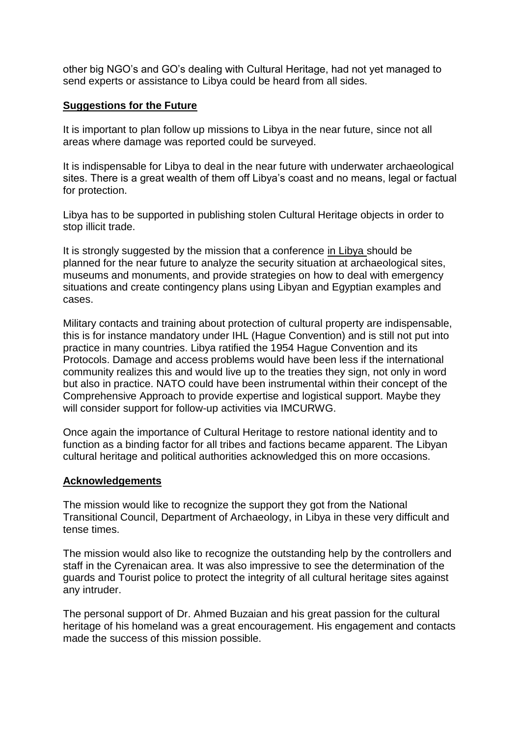other big NGO's and GO's dealing with Cultural Heritage, had not yet managed to send experts or assistance to Libya could be heard from all sides.

## **Suggestions for the Future**

It is important to plan follow up missions to Libya in the near future, since not all areas where damage was reported could be surveyed.

It is indispensable for Libya to deal in the near future with underwater archaeological sites. There is a great wealth of them off Libya's coast and no means, legal or factual for protection.

Libya has to be supported in publishing stolen Cultural Heritage objects in order to stop illicit trade.

It is strongly suggested by the mission that a conference in Libya should be planned for the near future to analyze the security situation at archaeological sites, museums and monuments, and provide strategies on how to deal with emergency situations and create contingency plans using Libyan and Egyptian examples and cases.

Military contacts and training about protection of cultural property are indispensable, this is for instance mandatory under IHL (Hague Convention) and is still not put into practice in many countries. Libya ratified the 1954 Hague Convention and its Protocols. Damage and access problems would have been less if the international community realizes this and would live up to the treaties they sign, not only in word but also in practice. NATO could have been instrumental within their concept of the Comprehensive Approach to provide expertise and logistical support. Maybe they will consider support for follow-up activities via IMCURWG.

Once again the importance of Cultural Heritage to restore national identity and to function as a binding factor for all tribes and factions became apparent. The Libyan cultural heritage and political authorities acknowledged this on more occasions.

### **Acknowledgements**

The mission would like to recognize the support they got from the National Transitional Council, Department of Archaeology, in Libya in these very difficult and tense times.

The mission would also like to recognize the outstanding help by the controllers and staff in the Cyrenaican area. It was also impressive to see the determination of the guards and Tourist police to protect the integrity of all cultural heritage sites against any intruder.

The personal support of Dr. Ahmed Buzaian and his great passion for the cultural heritage of his homeland was a great encouragement. His engagement and contacts made the success of this mission possible.